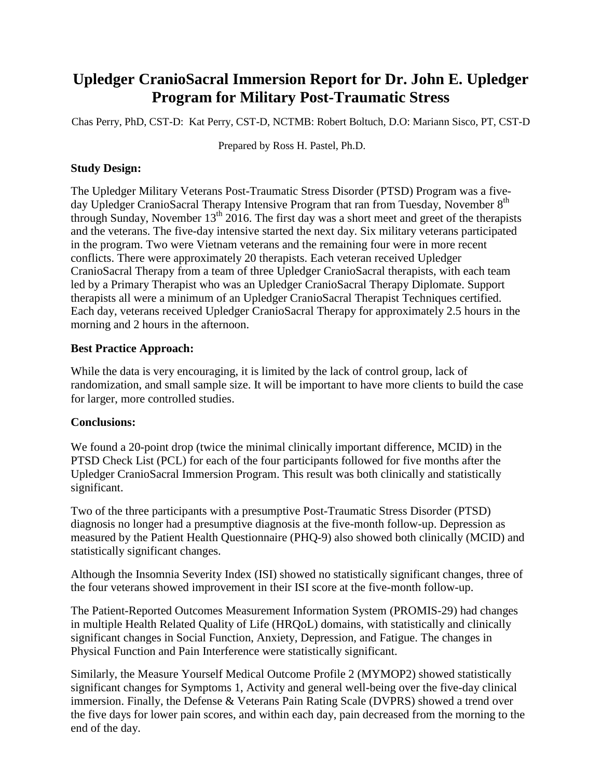### **Upledger CranioSacral Immersion Report for Dr. John E. Upledger Program for Military Post-Traumatic Stress**

Chas Perry, PhD, CST-D: Kat Perry, CST-D, NCTMB: Robert Boltuch, D.O: Mariann Sisco, PT, CST-D

Prepared by Ross H. Pastel, Ph.D.

### **Study Design:**

The Upledger Military Veterans Post-Traumatic Stress Disorder (PTSD) Program was a fiveday Upledger CranioSacral Therapy Intensive Program that ran from Tuesday, November 8<sup>th</sup> through Sunday, November  $13<sup>th</sup>$  2016. The first day was a short meet and greet of the therapists and the veterans. The five-day intensive started the next day. Six military veterans participated in the program. Two were Vietnam veterans and the remaining four were in more recent conflicts. There were approximately 20 therapists. Each veteran received Upledger CranioSacral Therapy from a team of three Upledger CranioSacral therapists, with each team led by a Primary Therapist who was an Upledger CranioSacral Therapy Diplomate. Support therapists all were a minimum of an Upledger CranioSacral Therapist Techniques certified. Each day, veterans received Upledger CranioSacral Therapy for approximately 2.5 hours in the morning and 2 hours in the afternoon.

#### **Best Practice Approach:**

While the data is very encouraging, it is limited by the lack of control group, lack of randomization, and small sample size. It will be important to have more clients to build the case for larger, more controlled studies.

### **Conclusions:**

We found a 20-point drop (twice the minimal clinically important difference, MCID) in the PTSD Check List (PCL) for each of the four participants followed for five months after the Upledger CranioSacral Immersion Program. This result was both clinically and statistically significant.

Two of the three participants with a presumptive Post-Traumatic Stress Disorder (PTSD) diagnosis no longer had a presumptive diagnosis at the five-month follow-up. Depression as measured by the Patient Health Questionnaire (PHQ-9) also showed both clinically (MCID) and statistically significant changes.

Although the Insomnia Severity Index (ISI) showed no statistically significant changes, three of the four veterans showed improvement in their ISI score at the five-month follow-up.

The Patient-Reported Outcomes Measurement Information System (PROMIS-29) had changes in multiple Health Related Quality of Life (HRQoL) domains, with statistically and clinically significant changes in Social Function, Anxiety, Depression, and Fatigue. The changes in Physical Function and Pain Interference were statistically significant.

Similarly, the Measure Yourself Medical Outcome Profile 2 (MYMOP2) showed statistically significant changes for Symptoms 1, Activity and general well-being over the five-day clinical immersion. Finally, the Defense & Veterans Pain Rating Scale (DVPRS) showed a trend over the five days for lower pain scores, and within each day, pain decreased from the morning to the end of the day.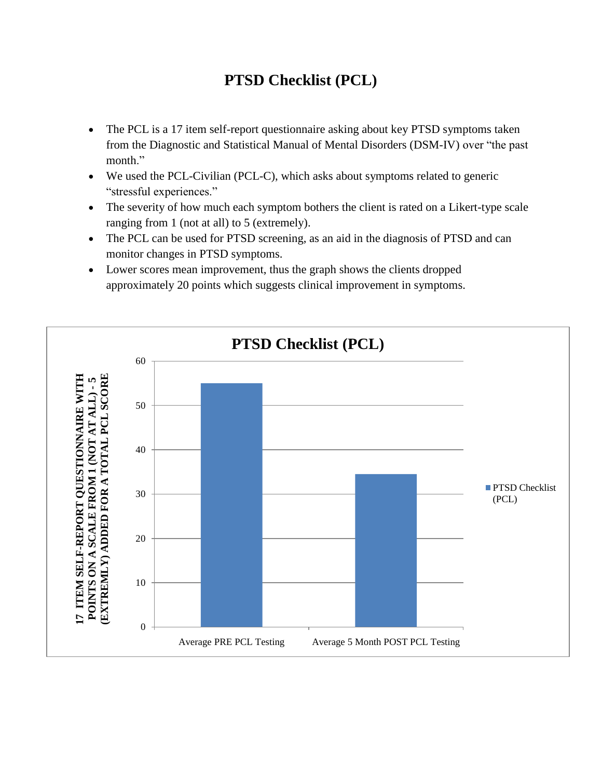## **PTSD Checklist (PCL)**

- The PCL is a 17 item self-report questionnaire asking about key PTSD symptoms taken from the Diagnostic and Statistical Manual of Mental Disorders (DSM-IV) over "the past month."
- We used the PCL-Civilian (PCL-C), which asks about symptoms related to generic "stressful experiences."
- The severity of how much each symptom bothers the client is rated on a Likert-type scale ranging from 1 (not at all) to 5 (extremely).
- The PCL can be used for PTSD screening, as an aid in the diagnosis of PTSD and can monitor changes in PTSD symptoms.
- Lower scores mean improvement, thus the graph shows the clients dropped approximately 20 points which suggests clinical improvement in symptoms.

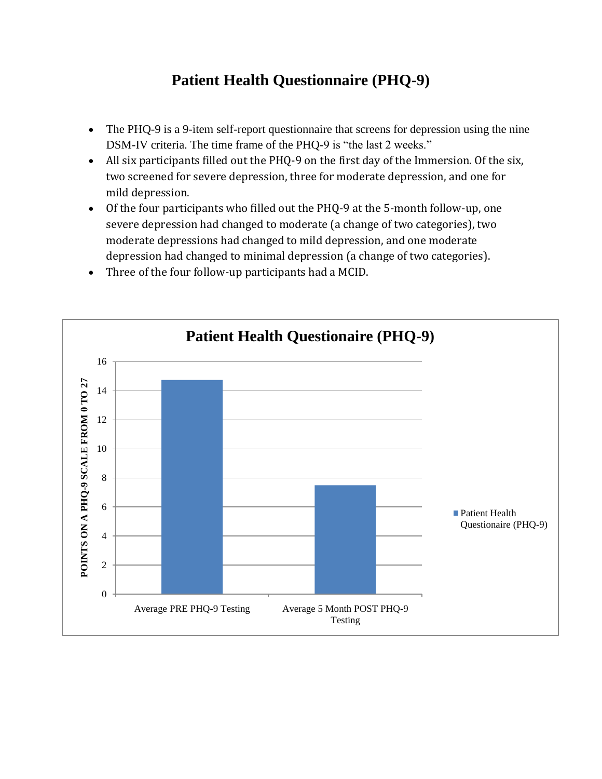## **Patient Health Questionnaire (PHQ-9)**

- The PHQ-9 is a 9-item self-report questionnaire that screens for depression using the nine DSM-IV criteria. The time frame of the PHQ-9 is "the last 2 weeks."
- All six participants filled out the PHQ-9 on the first day of the Immersion. Of the six, two screened for severe depression, three for moderate depression, and one for mild depression.
- Of the four participants who filled out the PHQ-9 at the 5-month follow-up, one severe depression had changed to moderate (a change of two categories), two moderate depressions had changed to mild depression, and one moderate depression had changed to minimal depression (a change of two categories).



Three of the four follow-up participants had a MCID.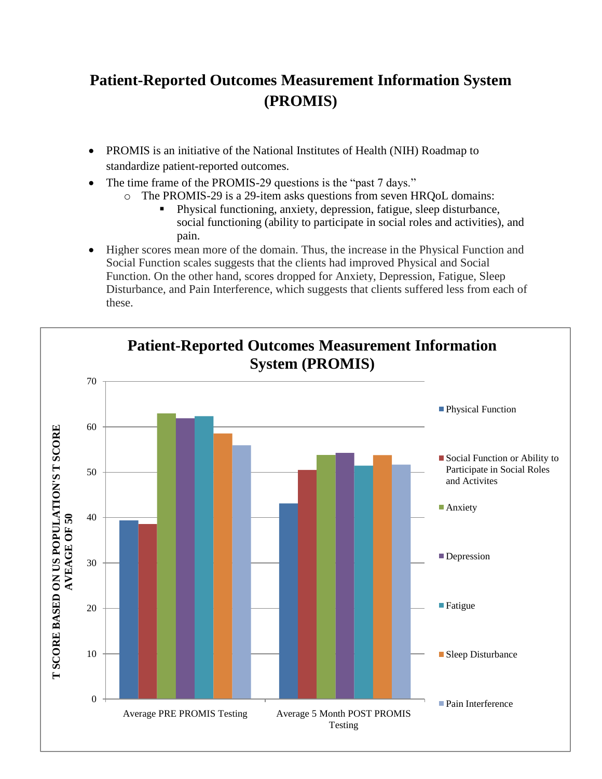# **Patient-Reported Outcomes Measurement Information System (PROMIS)**

- PROMIS is an initiative of the National Institutes of Health (NIH) Roadmap to standardize patient-reported outcomes.
- The time frame of the PROMIS-29 questions is the "past 7 days."
	- o The PROMIS-29 is a 29-item asks questions from seven HRQoL domains:
		- Physical functioning, anxiety, depression, fatigue, sleep disturbance, social functioning (ability to participate in social roles and activities), and pain.
- Higher scores mean more of the domain. Thus, the increase in the Physical Function and Social Function scales suggests that the clients had improved Physical and Social Function. On the other hand, scores dropped for Anxiety, Depression, Fatigue, Sleep Disturbance, and Pain Interference, which suggests that clients suffered less from each of these.

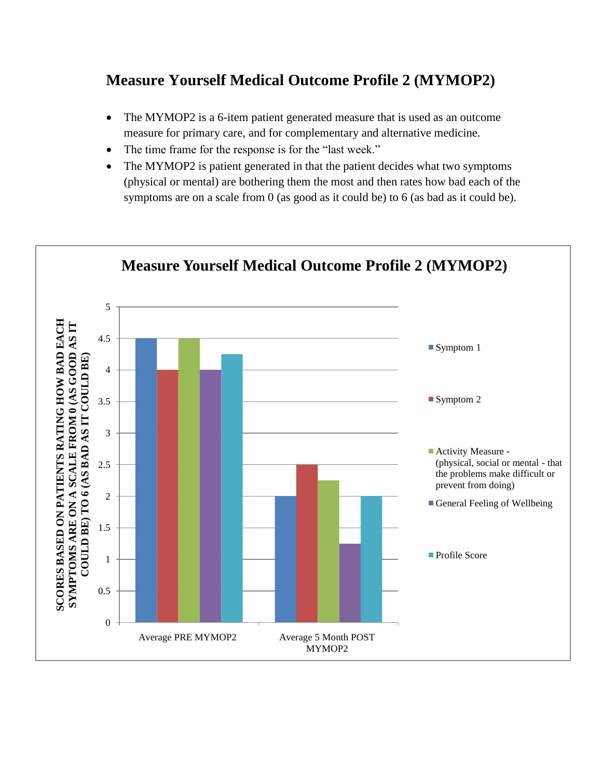### **Measure Yourself Medical Outcome Profile 2 (MYMOP2)**

- The MYMOP2 is a 6-item patient generated measure that is used as an outcome measure for primary care, and for complementary and alternative medicine.
- The time frame for the response is for the "last week."
- The MYMOP2 is patient generated in that the patient decides what two symptoms (physical or mental) are bothering them the most and then rates how bad each of the symptoms are on a scale from 0 (as good as it could be) to 6 (as bad as it could be).